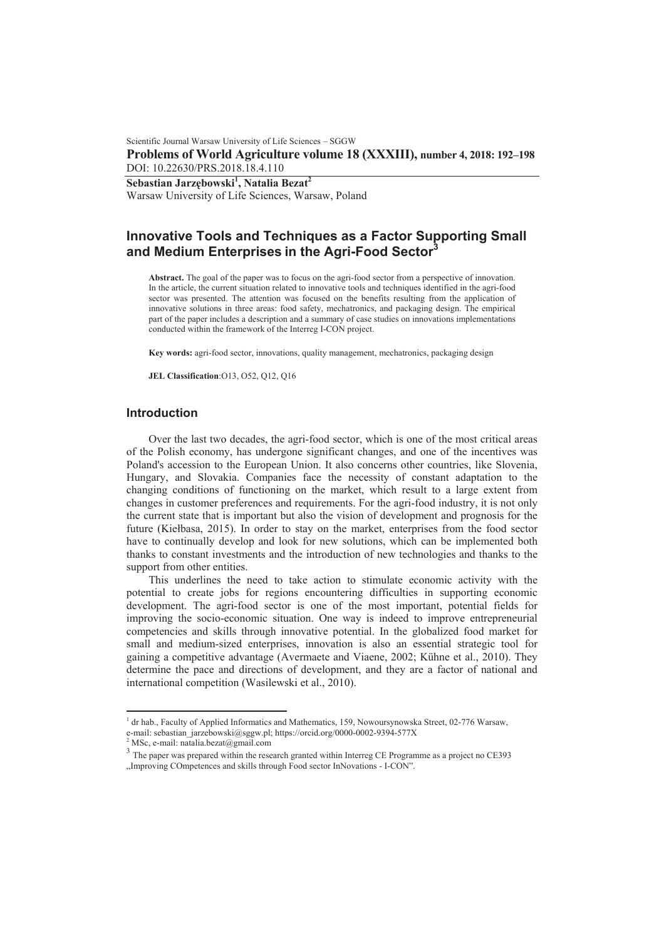Scientific Journal Warsaw University of Life Sciences – SGGW **Problems of World Agriculture volume 18 (XXXIII), number 4, 2018: 192–198**  DOI: 10.22630/PRS.2018.18.4.110

 $\bf$ **Sebastian Jarzębowski** $^1$ **, Natalia Bezat** $^2$ 

Warsaw University of Life Sciences, Warsaw, Poland

# **Innovative Tools and Techniques as a Factor Supporting Small and Medium Enterprises in the Agri-Food Sector<sup>3</sup>**

**Abstract.** The goal of the paper was to focus on the agri-food sector from a perspective of innovation. In the article, the current situation related to innovative tools and techniques identified in the agri-food sector was presented. The attention was focused on the benefits resulting from the application of innovative solutions in three areas: food safety, mechatronics, and packaging design. The empirical part of the paper includes a description and a summary of case studies on innovations implementations conducted within the framework of the Interreg I-CON project.

**Key words:** agri-food sector, innovations, quality management, mechatronics, packaging design

**JEL Classification**:O13, O52, Q12, Q16

# **Introduction**

Over the last two decades, the agri-food sector, which is one of the most critical areas of the Polish economy, has undergone significant changes, and one of the incentives was Poland's accession to the European Union. It also concerns other countries, like Slovenia, Hungary, and Slovakia. Companies face the necessity of constant adaptation to the changing conditions of functioning on the market, which result to a large extent from changes in customer preferences and requirements. For the agri-food industry, it is not only the current state that is important but also the vision of development and prognosis for the future (Kiełbasa, 2015). In order to stay on the market, enterprises from the food sector have to continually develop and look for new solutions, which can be implemented both thanks to constant investments and the introduction of new technologies and thanks to the support from other entities.

This underlines the need to take action to stimulate economic activity with the potential to create jobs for regions encountering difficulties in supporting economic development. The agri-food sector is one of the most important, potential fields for improving the socio-economic situation. One way is indeed to improve entrepreneurial competencies and skills through innovative potential. In the globalized food market for small and medium-sized enterprises, innovation is also an essential strategic tool for gaining a competitive advantage (Avermaete and Viaene, 2002; Kühne et al., 2010). They determine the pace and directions of development, and they are a factor of national and international competition (Wasilewski et al., 2010).

 $\overline{a}$ 

<sup>&</sup>lt;sup>1</sup> dr hab., Faculty of Applied Informatics and Mathematics, 159, Nowoursynowska Street, 02-776 Warsaw, e-mail: sebastian\_jarzebowski@sggw.pl; https://orcid.org/0000-0002-9394-577X 2 MSc, e-mail: natalia.bezat@gmail.com

<sup>&</sup>lt;sup>3</sup> The paper was prepared within the research granted within Interreg CE Programme as a project no CE393 "Improving COmpetences and skills through Food sector InNovations - I-CON".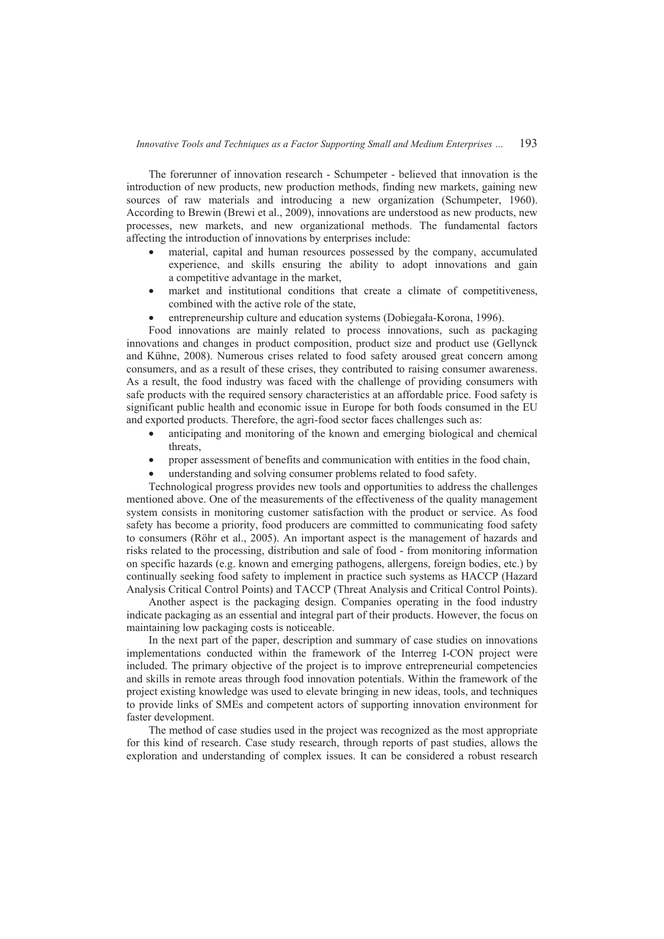The forerunner of innovation research - Schumpeter - believed that innovation is the introduction of new products, new production methods, finding new markets, gaining new sources of raw materials and introducing a new organization (Schumpeter, 1960). According to Brewin (Brewi et al., 2009), innovations are understood as new products, new processes, new markets, and new organizational methods. The fundamental factors affecting the introduction of innovations by enterprises include:

- material, capital and human resources possessed by the company, accumulated experience, and skills ensuring the ability to adopt innovations and gain a competitive advantage in the market,
- market and institutional conditions that create a climate of competitiveness, combined with the active role of the state,
- entrepreneurship culture and education systems (Dobiegała-Korona, 1996).

Food innovations are mainly related to process innovations, such as packaging innovations and changes in product composition, product size and product use (Gellynck and Kühne, 2008). Numerous crises related to food safety aroused great concern among consumers, and as a result of these crises, they contributed to raising consumer awareness. As a result, the food industry was faced with the challenge of providing consumers with safe products with the required sensory characteristics at an affordable price. Food safety is significant public health and economic issue in Europe for both foods consumed in the EU and exported products. Therefore, the agri-food sector faces challenges such as:

- anticipating and monitoring of the known and emerging biological and chemical threats,
- proper assessment of benefits and communication with entities in the food chain,
- understanding and solving consumer problems related to food safety.

Technological progress provides new tools and opportunities to address the challenges mentioned above. One of the measurements of the effectiveness of the quality management system consists in monitoring customer satisfaction with the product or service. As food safety has become a priority, food producers are committed to communicating food safety to consumers (Röhr et al., 2005). An important aspect is the management of hazards and risks related to the processing, distribution and sale of food - from monitoring information on specific hazards (e.g. known and emerging pathogens, allergens, foreign bodies, etc.) by continually seeking food safety to implement in practice such systems as HACCP (Hazard Analysis Critical Control Points) and TACCP (Threat Analysis and Critical Control Points).

Another aspect is the packaging design. Companies operating in the food industry indicate packaging as an essential and integral part of their products. However, the focus on maintaining low packaging costs is noticeable.

In the next part of the paper, description and summary of case studies on innovations implementations conducted within the framework of the Interreg I-CON project were included. The primary objective of the project is to improve entrepreneurial competencies and skills in remote areas through food innovation potentials. Within the framework of the project existing knowledge was used to elevate bringing in new ideas, tools, and techniques to provide links of SMEs and competent actors of supporting innovation environment for faster development.

The method of case studies used in the project was recognized as the most appropriate for this kind of research. Case study research, through reports of past studies, allows the exploration and understanding of complex issues. It can be considered a robust research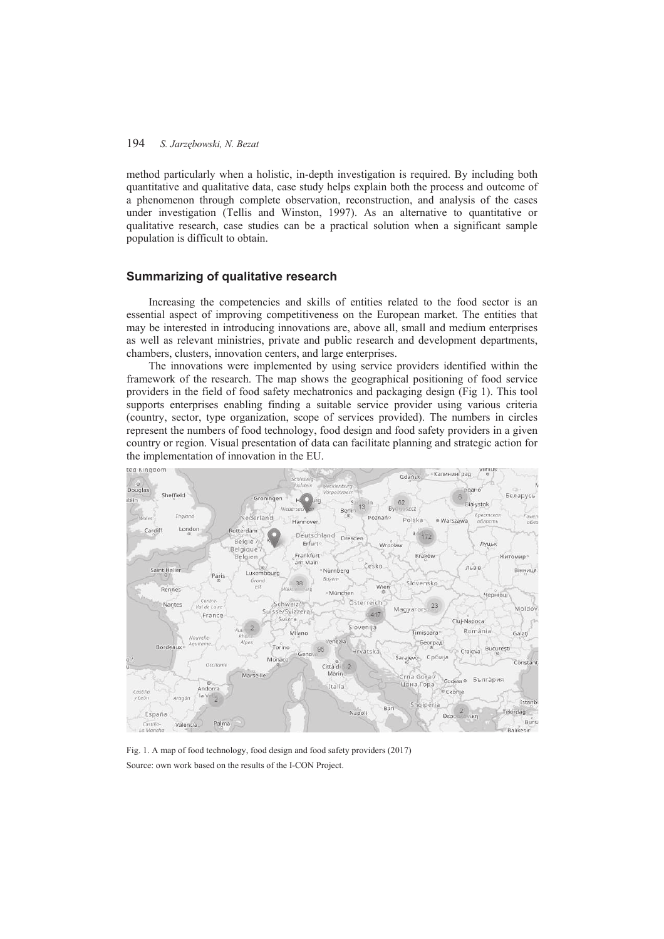# 194 *S. JarzĊbowski, N. Bezat*

method particularly when a holistic, in-depth investigation is required. By including both quantitative and qualitative data, case study helps explain both the process and outcome of a phenomenon through complete observation, reconstruction, and analysis of the cases under investigation (Tellis and Winston, 1997). As an alternative to quantitative or qualitative research, case studies can be a practical solution when a significant sample population is difficult to obtain.

## **Summarizing of qualitative research**

Increasing the competencies and skills of entities related to the food sector is an essential aspect of improving competitiveness on the European market. The entities that may be interested in introducing innovations are, above all, small and medium enterprises as well as relevant ministries, private and public research and development departments, chambers, clusters, innovation centers, and large enterprises.

The innovations were implemented by using service providers identified within the framework of the research. The map shows the geographical positioning of food service providers in the field of food safety mechatronics and packaging design (Fig 1). This tool supports enterprises enabling finding a suitable service provider using various criteria (country, sector, type organization, scope of services provided). The numbers in circles represent the numbers of food technology, food design and food safety providers in a given country or region. Visual presentation of data can facilitate planning and strategic action for the implementation of innovation in the EU.



Fig. 1. A map of food technology, food design and food safety providers (2017) Source: own work based on the results of the I-CON Project.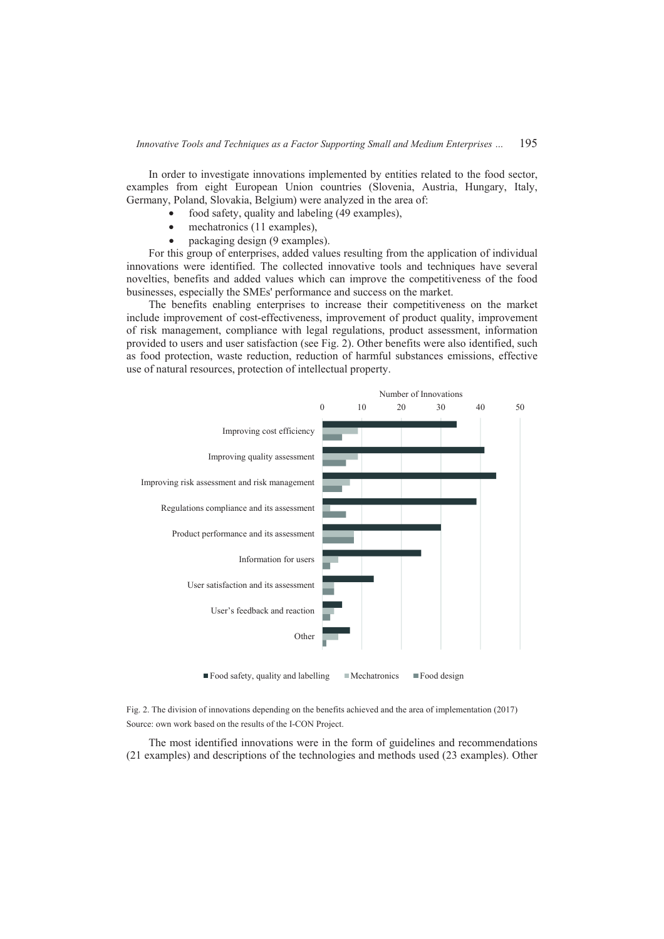In order to investigate innovations implemented by entities related to the food sector, examples from eight European Union countries (Slovenia, Austria, Hungary, Italy, Germany, Poland, Slovakia, Belgium) were analyzed in the area of:

- food safety, quality and labeling (49 examples),
- mechatronics (11 examples),
- packaging design (9 examples).

For this group of enterprises, added values resulting from the application of individual innovations were identified. The collected innovative tools and techniques have several novelties, benefits and added values which can improve the competitiveness of the food businesses, especially the SMEs' performance and success on the market.

The benefits enabling enterprises to increase their competitiveness on the market include improvement of cost-effectiveness, improvement of product quality, improvement of risk management, compliance with legal regulations, product assessment, information provided to users and user satisfaction (see Fig. 2). Other benefits were also identified, such as food protection, waste reduction, reduction of harmful substances emissions, effective use of natural resources, protection of intellectual property.



Fig. 2. The division of innovations depending on the benefits achieved and the area of implementation (2017) Source: own work based on the results of the I-CON Project.

The most identified innovations were in the form of guidelines and recommendations (21 examples) and descriptions of the technologies and methods used (23 examples). Other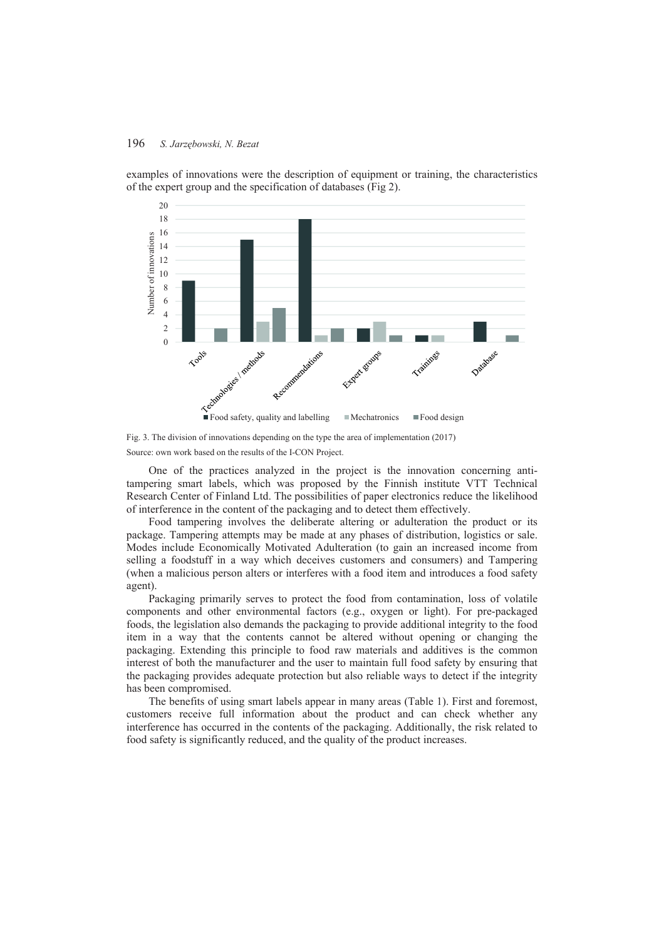#### 196 *S. JarzĊbowski, N. Bezat*



examples of innovations were the description of equipment or training, the characteristics of the expert group and the specification of databases (Fig 2).

Fig. 3. The division of innovations depending on the type the area of implementation (2017) Source: own work based on the results of the I-CON Project.

One of the practices analyzed in the project is the innovation concerning antitampering smart labels, which was proposed by the Finnish institute VTT Technical Research Center of Finland Ltd. The possibilities of paper electronics reduce the likelihood of interference in the content of the packaging and to detect them effectively.

Food tampering involves the deliberate altering or adulteration the product or its package. Tampering attempts may be made at any phases of distribution, logistics or sale. Modes include Economically Motivated Adulteration (to gain an increased income from selling a foodstuff in a way which deceives customers and consumers) and Tampering (when a malicious person alters or interferes with a food item and introduces a food safety agent).

Packaging primarily serves to protect the food from contamination, loss of volatile components and other environmental factors (e.g., oxygen or light). For pre-packaged foods, the legislation also demands the packaging to provide additional integrity to the food item in a way that the contents cannot be altered without opening or changing the packaging. Extending this principle to food raw materials and additives is the common interest of both the manufacturer and the user to maintain full food safety by ensuring that the packaging provides adequate protection but also reliable ways to detect if the integrity has been compromised.

The benefits of using smart labels appear in many areas (Table 1). First and foremost, customers receive full information about the product and can check whether any interference has occurred in the contents of the packaging. Additionally, the risk related to food safety is significantly reduced, and the quality of the product increases.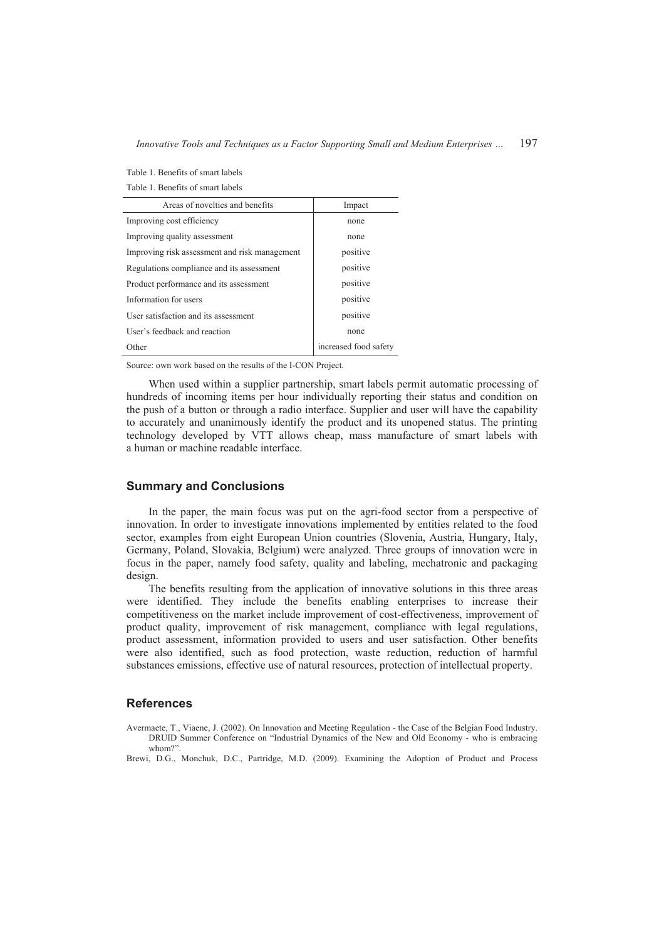*Innovative Tools and Techniques as a Factor Supporting Small and Medium Enterprises …* 197

| Table 1. Benefits of smart labels |  |
|-----------------------------------|--|
|-----------------------------------|--|

Table 1. Benefits of smart labels

| Areas of novelties and benefits               | Impact                |
|-----------------------------------------------|-----------------------|
| Improving cost efficiency                     | none                  |
| Improving quality assessment                  | none                  |
| Improving risk assessment and risk management | positive              |
| Regulations compliance and its assessment     | positive              |
| Product performance and its assessment        | positive              |
| Information for users                         | positive              |
| User satisfaction and its assessment          | positive              |
| User's feedback and reaction                  | none                  |
| Other                                         | increased food safety |

Source: own work based on the results of the I-CON Project.

When used within a supplier partnership, smart labels permit automatic processing of hundreds of incoming items per hour individually reporting their status and condition on the push of a button or through a radio interface. Supplier and user will have the capability to accurately and unanimously identify the product and its unopened status. The printing technology developed by VTT allows cheap, mass manufacture of smart labels with a human or machine readable interface.

# **Summary and Conclusions**

In the paper, the main focus was put on the agri-food sector from a perspective of innovation. In order to investigate innovations implemented by entities related to the food sector, examples from eight European Union countries (Slovenia, Austria, Hungary, Italy, Germany, Poland, Slovakia, Belgium) were analyzed. Three groups of innovation were in focus in the paper, namely food safety, quality and labeling, mechatronic and packaging design.

The benefits resulting from the application of innovative solutions in this three areas were identified. They include the benefits enabling enterprises to increase their competitiveness on the market include improvement of cost-effectiveness, improvement of product quality, improvement of risk management, compliance with legal regulations, product assessment, information provided to users and user satisfaction. Other benefits were also identified, such as food protection, waste reduction, reduction of harmful substances emissions, effective use of natural resources, protection of intellectual property.

# **References**

Avermaete, T., Viaene, J. (2002). On Innovation and Meeting Regulation - the Case of the Belgian Food Industry. DRUID Summer Conference on "Industrial Dynamics of the New and Old Economy - who is embracing whom?"

Brewi, D.G., Monchuk, D.C., Partridge, M.D. (2009). Examining the Adoption of Product and Process